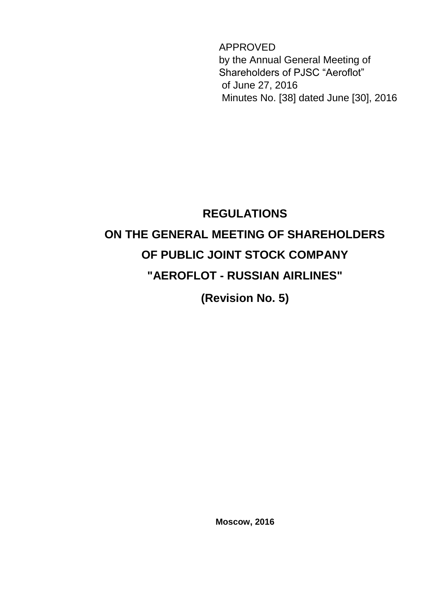APPROVED by the Annual General Meeting of Shareholders of PJSC "Aeroflot" of June 27, 2016 Minutes No. [38] dated June [30], 2016

# **REGULATIONS ON THE GENERAL MEETING OF SHAREHOLDERS OF PUBLIC JOINT STOCK COMPANY "AEROFLOT - RUSSIAN AIRLINES"**

**(Revision No. 5)** 

**Moscow, 2016**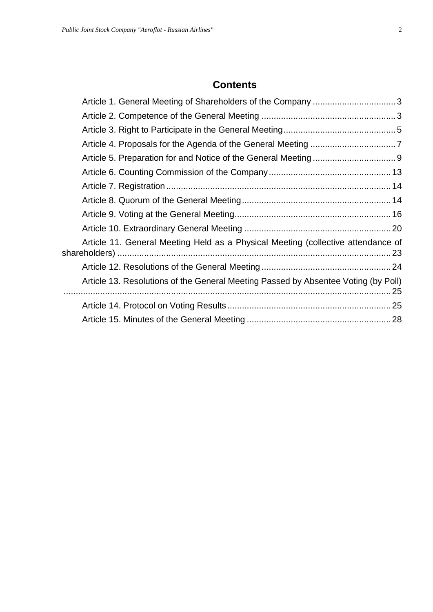## **Contents**

| Article 11. General Meeting Held as a Physical Meeting (collective attendance of   |  |
|------------------------------------------------------------------------------------|--|
|                                                                                    |  |
| Article 13. Resolutions of the General Meeting Passed by Absentee Voting (by Poll) |  |
|                                                                                    |  |
|                                                                                    |  |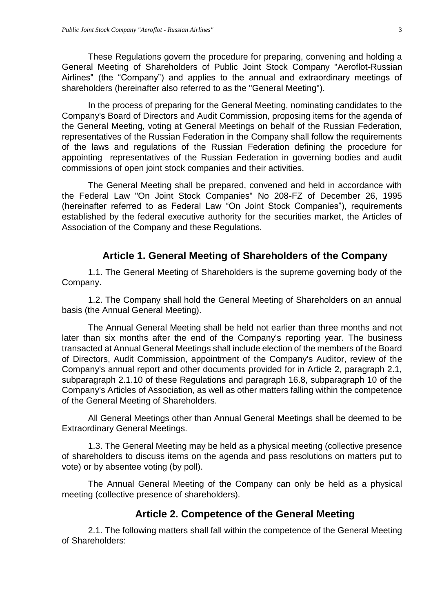These Regulations govern the procedure for preparing, convening and holding a General Meeting of Shareholders of Public Joint Stock Company "Aeroflot-Russian Airlines" (the "Company") and applies to the annual and extraordinary meetings of shareholders (hereinafter also referred to as the "General Meeting").

In the process of preparing for the General Meeting, nominating candidates to the Company's Board of Directors and Audit Commission, proposing items for the agenda of the General Meeting, voting at General Meetings on behalf of the Russian Federation, representatives of the Russian Federation in the Company shall follow the requirements of the laws and regulations of the Russian Federation defining the procedure for appointing representatives of the Russian Federation in governing bodies and audit commissions of open joint stock companies and their activities.

The General Meeting shall be prepared, convened and held in accordance with the Federal Law "On Joint Stock Companies" No 208-FZ of December 26, 1995 (hereinafter referred to as Federal Law "On Joint Stock Companies"), requirements established by the federal executive authority for the securities market, the Articles of Association of the Company and these Regulations.

#### **Article 1. General Meeting of Shareholders of the Company**

<span id="page-2-0"></span>1.1. The General Meeting of Shareholders is the supreme governing body of the Company.

1.2. The Company shall hold the General Meeting of Shareholders on an annual basis (the Annual General Meeting).

The Annual General Meeting shall be held not earlier than three months and not later than six months after the end of the Company's reporting year. The business transacted at Annual General Meetings shall include election of the members of the Board of Directors, Audit Commission, appointment of the Company's Auditor, review of the Company's annual report and other documents provided for in Article 2, paragraph 2.1, subparagraph 2.1.10 of these Regulations and paragraph 16.8, subparagraph 10 of the Company's Articles of Association, as well as other matters falling within the competence of the General Meeting of Shareholders.

All General Meetings other than Annual General Meetings shall be deemed to be Extraordinary General Meetings.

1.3. The General Meeting may be held as a physical meeting (collective presence of shareholders to discuss items on the agenda and pass resolutions on matters put to vote) or by absentee voting (by poll).

The Annual General Meeting of the Company can only be held as a physical meeting (collective presence of shareholders).

#### **Article 2. Competence of the General Meeting**

<span id="page-2-1"></span>2.1. The following matters shall fall within the competence of the General Meeting of Shareholders: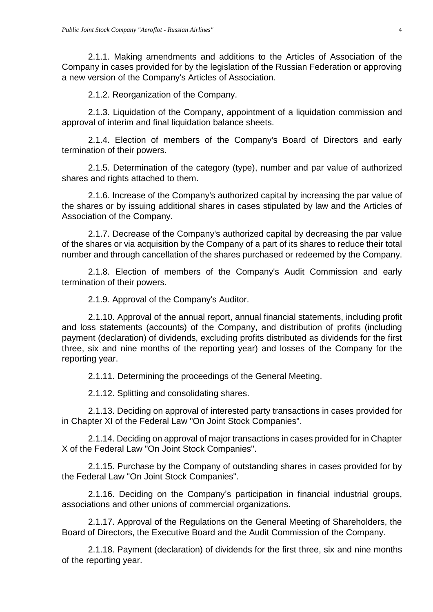2.1.1. Making amendments and additions to the Articles of Association of the Company in cases provided for by the legislation of the Russian Federation or approving a new version of the Company's Articles of Association.

2.1.2. Reorganization of the Company.

2.1.3. Liquidation of the Company, appointment of a liquidation commission and approval of interim and final liquidation balance sheets.

2.1.4. Election of members of the Company's Board of Directors and early termination of their powers.

2.1.5. Determination of the category (type), number and par value of authorized shares and rights attached to them.

2.1.6. Increase of the Company's authorized capital by increasing the par value of the shares or by issuing additional shares in cases stipulated by law and the Articles of Association of the Company.

2.1.7. Decrease of the Company's authorized capital by decreasing the par value of the shares or via acquisition by the Company of a part of its shares to reduce their total number and through cancellation of the shares purchased or redeemed by the Company.

2.1.8. Election of members of the Company's Audit Commission and early termination of their powers.

2.1.9. Approval of the Company's Auditor.

2.1.10. Approval of the annual report, annual financial statements, including profit and loss statements (accounts) of the Company, and distribution of profits (including payment (declaration) of dividends, excluding profits distributed as dividends for the first three, six and nine months of the reporting year) and losses of the Company for the reporting year.

2.1.11. Determining the proceedings of the General Meeting.

2.1.12. Splitting and consolidating shares.

2.1.13. Deciding on approval of interested party transactions in cases provided for in Chapter XI of the Federal Law "On Joint Stock Companies".

2.1.14. Deciding on approval of major transactions in cases provided for in Chapter X of the Federal Law "On Joint Stock Companies".

2.1.15. Purchase by the Company of outstanding shares in cases provided for by the Federal Law "On Joint Stock Companies".

2.1.16. Deciding on the Company's participation in financial industrial groups, associations and other unions of commercial organizations.

2.1.17. Approval of the Regulations on the General Meeting of Shareholders, the Board of Directors, the Executive Board and the Audit Commission of the Company.

2.1.18. Payment (declaration) of dividends for the first three, six and nine months of the reporting year.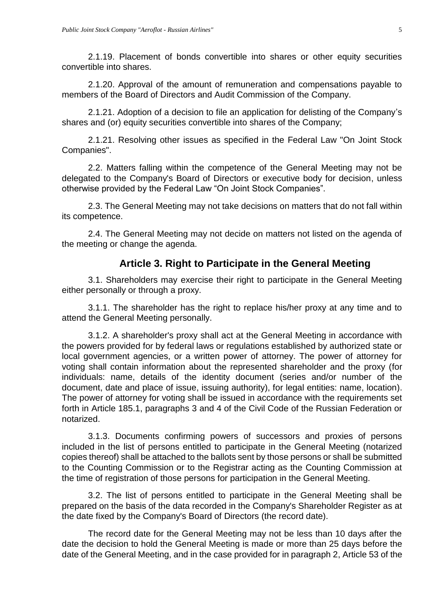2.1.19. Placement of bonds convertible into shares or other equity securities convertible into shares.

2.1.20. Approval of the amount of remuneration and compensations payable to members of the Board of Directors and Audit Commission of the Company.

2.1.21. Adoption of a decision to file an application for delisting of the Company's shares and (or) equity securities convertible into shares of the Company;

2.1.21. Resolving other issues as specified in the Federal Law "On Joint Stock Companies".

2.2. Matters falling within the competence of the General Meeting may not be delegated to the Company's Board of Directors or executive body for decision, unless otherwise provided by the Federal Law "On Joint Stock Companies".

2.3. The General Meeting may not take decisions on matters that do not fall within its competence.

2.4. The General Meeting may not decide on matters not listed on the agenda of the meeting or change the agenda.

#### **Article 3. Right to Participate in the General Meeting**

<span id="page-4-0"></span>3.1. Shareholders may exercise their right to participate in the General Meeting either personally or through a proxy.

3.1.1. The shareholder has the right to replace his/her proxy at any time and to attend the General Meeting personally.

3.1.2. A shareholder's proxy shall act at the General Meeting in accordance with the powers provided for by federal laws or regulations established by authorized state or local government agencies, or a written power of attorney. The power of attorney for voting shall contain information about the represented shareholder and the proxy (for individuals: name, details of the identity document (series and/or number of the document, date and place of issue, issuing authority), for legal entities: name, location). The power of attorney for voting shall be issued in accordance with the requirements set forth in Article 185.1, paragraphs 3 and 4 of the Civil Code of the Russian Federation or notarized.

3.1.3. Documents confirming powers of successors and proxies of persons included in the list of persons entitled to participate in the General Meeting (notarized copies thereof) shall be attached to the ballots sent by those persons or shall be submitted to the Counting Commission or to the Registrar acting as the Counting Commission at the time of registration of those persons for participation in the General Meeting.

3.2. The list of persons entitled to participate in the General Meeting shall be prepared on the basis of the data recorded in the Company's Shareholder Register as at the date fixed by the Company's Board of Directors (the record date).

The record date for the General Meeting may not be less than 10 days after the date the decision to hold the General Meeting is made or more than 25 days before the date of the General Meeting, and in the case provided for in paragraph 2, Article 53 of the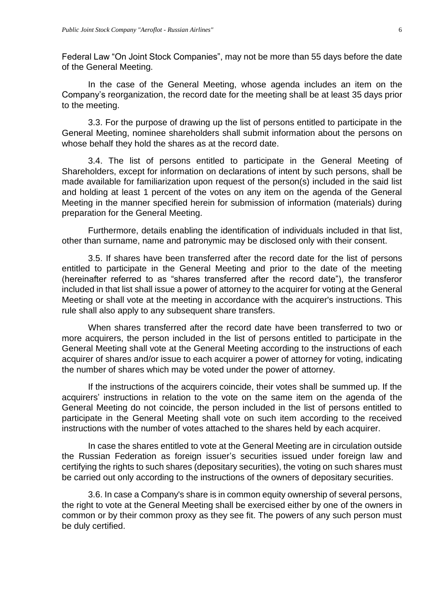Federal Law "On Joint Stock Companies", may not be more than 55 days before the date of the General Meeting.

In the case of the General Meeting, whose agenda includes an item on the Company's reorganization, the record date for the meeting shall be at least 35 days prior to the meeting.

3.3. For the purpose of drawing up the list of persons entitled to participate in the General Meeting, nominee shareholders shall submit information about the persons on whose behalf they hold the shares as at the record date.

3.4. The list of persons entitled to participate in the General Meeting of Shareholders, except for information on declarations of intent by such persons, shall be made available for familiarization upon request of the person(s) included in the said list and holding at least 1 percent of the votes on any item on the agenda of the General Meeting in the manner specified herein for submission of information (materials) during preparation for the General Meeting.

Furthermore, details enabling the identification of individuals included in that list, other than surname, name and patronymic may be disclosed only with their consent.

3.5. If shares have been transferred after the record date for the list of persons entitled to participate in the General Meeting and prior to the date of the meeting (hereinafter referred to as "shares transferred after the record date"), the transferor included in that list shall issue a power of attorney to the acquirer for voting at the General Meeting or shall vote at the meeting in accordance with the acquirer's instructions. This rule shall also apply to any subsequent share transfers.

When shares transferred after the record date have been transferred to two or more acquirers, the person included in the list of persons entitled to participate in the General Meeting shall vote at the General Meeting according to the instructions of each acquirer of shares and/or issue to each acquirer a power of attorney for voting, indicating the number of shares which may be voted under the power of attorney.

If the instructions of the acquirers coincide, their votes shall be summed up. If the acquirers' instructions in relation to the vote on the same item on the agenda of the General Meeting do not coincide, the person included in the list of persons entitled to participate in the General Meeting shall vote on such item according to the received instructions with the number of votes attached to the shares held by each acquirer.

In case the shares entitled to vote at the General Meeting are in circulation outside the Russian Federation as foreign issuer's securities issued under foreign law and certifying the rights to such shares (depositary securities), the voting on such shares must be carried out only according to the instructions of the owners of depositary securities.

3.6. In case a Company's share is in common equity ownership of several persons, the right to vote at the General Meeting shall be exercised either by one of the owners in common or by their common proxy as they see fit. The powers of any such person must be duly certified.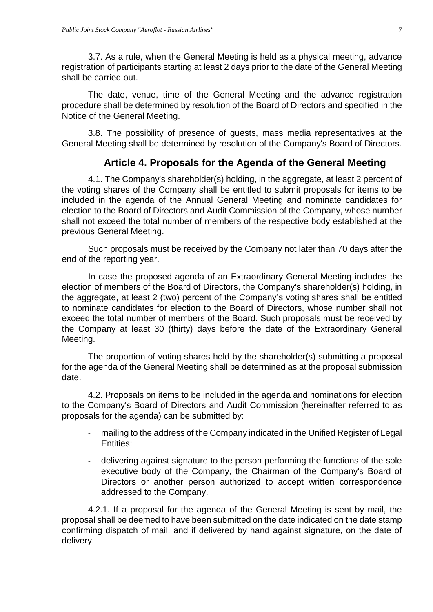3.7. As a rule, when the General Meeting is held as a physical meeting, advance registration of participants starting at least 2 days prior to the date of the General Meeting shall be carried out.

The date, venue, time of the General Meeting and the advance registration procedure shall be determined by resolution of the Board of Directors and specified in the Notice of the General Meeting.

3.8. The possibility of presence of guests, mass media representatives at the General Meeting shall be determined by resolution of the Company's Board of Directors.

# **Article 4. Proposals for the Agenda of the General Meeting**

<span id="page-6-0"></span>4.1. The Company's shareholder(s) holding, in the aggregate, at least 2 percent of the voting shares of the Company shall be entitled to submit proposals for items to be included in the agenda of the Annual General Meeting and nominate candidates for election to the Board of Directors and Audit Commission of the Company, whose number shall not exceed the total number of members of the respective body established at the previous General Meeting.

Such proposals must be received by the Company not later than 70 days after the end of the reporting year.

In case the proposed agenda of an Extraordinary General Meeting includes the election of members of the Board of Directors, the Company's shareholder(s) holding, in the aggregate, at least 2 (two) percent of the Company's voting shares shall be entitled to nominate candidates for election to the Board of Directors, whose number shall not exceed the total number of members of the Board. Such proposals must be received by the Company at least 30 (thirty) days before the date of the Extraordinary General Meeting.

The proportion of voting shares held by the shareholder(s) submitting a proposal for the agenda of the General Meeting shall be determined as at the proposal submission date.

4.2. Proposals on items to be included in the agenda and nominations for election to the Company's Board of Directors and Audit Commission (hereinafter referred to as proposals for the agenda) can be submitted by:

- mailing to the address of the Company indicated in the Unified Register of Legal Entities;
- delivering against signature to the person performing the functions of the sole executive body of the Company, the Chairman of the Company's Board of Directors or another person authorized to accept written correspondence addressed to the Company.

4.2.1. If a proposal for the agenda of the General Meeting is sent by mail, the proposal shall be deemed to have been submitted on the date indicated on the date stamp confirming dispatch of mail, and if delivered by hand against signature, on the date of delivery.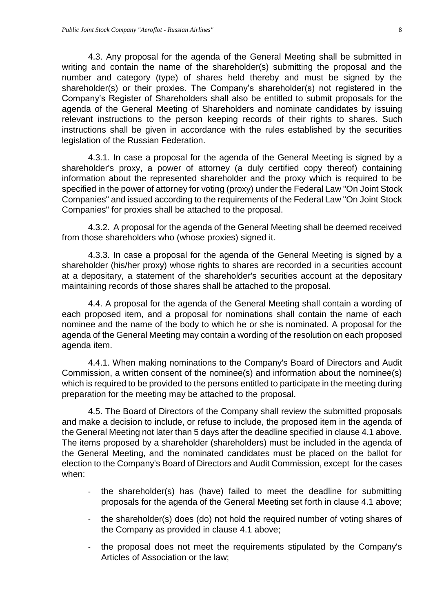4.3. Any proposal for the agenda of the General Meeting shall be submitted in writing and contain the name of the shareholder(s) submitting the proposal and the number and category (type) of shares held thereby and must be signed by the shareholder(s) or their proxies. The Company's shareholder(s) not registered in the Company's Register of Shareholders shall also be entitled to submit proposals for the agenda of the General Meeting of Shareholders and nominate candidates by issuing relevant instructions to the person keeping records of their rights to shares. Such instructions shall be given in accordance with the rules established by the securities legislation of the Russian Federation.

4.3.1. In case a proposal for the agenda of the General Meeting is signed by a shareholder's proxy, a power of attorney (a duly certified copy thereof) containing information about the represented shareholder and the proxy which is required to be specified in the power of attorney for voting (proxy) under the Federal Law "On Joint Stock Companies" and issued according to the requirements of the Federal Law "On Joint Stock Companies" for proxies shall be attached to the proposal.

4.3.2. A proposal for the agenda of the General Meeting shall be deemed received from those shareholders who (whose proxies) signed it.

4.3.3. In case a proposal for the agenda of the General Meeting is signed by a shareholder (his/her proxy) whose rights to shares are recorded in a securities account at a depositary, a statement of the shareholder's securities account at the depositary maintaining records of those shares shall be attached to the proposal.

4.4. A proposal for the agenda of the General Meeting shall contain a wording of each proposed item, and a proposal for nominations shall contain the name of each nominee and the name of the body to which he or she is nominated. A proposal for the agenda of the General Meeting may contain a wording of the resolution on each proposed agenda item.

4.4.1. When making nominations to the Company's Board of Directors and Audit Commission, a written consent of the nominee(s) and information about the nominee(s) which is required to be provided to the persons entitled to participate in the meeting during preparation for the meeting may be attached to the proposal.

4.5. The Board of Directors of the Company shall review the submitted proposals and make a decision to include, or refuse to include, the proposed item in the agenda of the General Meeting not later than 5 days after the deadline specified in clause 4.1 above. The items proposed by a shareholder (shareholders) must be included in the agenda of the General Meeting, and the nominated candidates must be placed on the ballot for election to the Company's Board of Directors and Audit Commission, except for the cases when:

- the shareholder(s) has (have) failed to meet the deadline for submitting proposals for the agenda of the General Meeting set forth in clause 4.1 above;
- the shareholder(s) does (do) not hold the required number of voting shares of the Company as provided in clause 4.1 above;
- the proposal does not meet the requirements stipulated by the Company's Articles of Association or the law;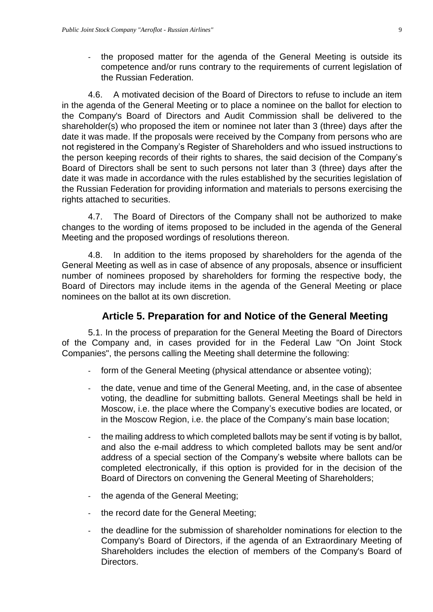- the proposed matter for the agenda of the General Meeting is outside its competence and/or runs contrary to the requirements of current legislation of the Russian Federation.

4.6. A motivated decision of the Board of Directors to refuse to include an item in the agenda of the General Meeting or to place a nominee on the ballot for election to the Company's Board of Directors and Audit Commission shall be delivered to the shareholder(s) who proposed the item or nominee not later than 3 (three) days after the date it was made. If the proposals were received by the Company from persons who are not registered in the Company's Register of Shareholders and who issued instructions to the person keeping records of their rights to shares, the said decision of the Company's Board of Directors shall be sent to such persons not later than 3 (three) days after the date it was made in accordance with the rules established by the securities legislation of the Russian Federation for providing information and materials to persons exercising the rights attached to securities.

4.7. The Board of Directors of the Company shall not be authorized to make changes to the wording of items proposed to be included in the agenda of the General Meeting and the proposed wordings of resolutions thereon.

4.8. In addition to the items proposed by shareholders for the agenda of the General Meeting as well as in case of absence of any proposals, absence or insufficient number of nominees proposed by shareholders for forming the respective body, the Board of Directors may include items in the agenda of the General Meeting or place nominees on the ballot at its own discretion.

## **Article 5. Preparation for and Notice of the General Meeting**

<span id="page-8-0"></span>5.1. In the process of preparation for the General Meeting the Board of Directors of the Company and, in cases provided for in the Federal Law "On Joint Stock Companies", the persons calling the Meeting shall determine the following:

- form of the General Meeting (physical attendance or absentee voting);
- the date, venue and time of the General Meeting, and, in the case of absentee voting, the deadline for submitting ballots. General Meetings shall be held in Moscow, i.e. the place where the Company's executive bodies are located, or in the Moscow Region, i.e. the place of the Company's main base location;
- the mailing address to which completed ballots may be sent if voting is by ballot, and also the e-mail address to which completed ballots may be sent and/or address of a special section of the Company's website where ballots can be completed electronically, if this option is provided for in the decision of the Board of Directors on convening the General Meeting of Shareholders;
- the agenda of the General Meeting;
- the record date for the General Meeting;
- the deadline for the submission of shareholder nominations for election to the Company's Board of Directors, if the agenda of an Extraordinary Meeting of Shareholders includes the election of members of the Company's Board of Directors.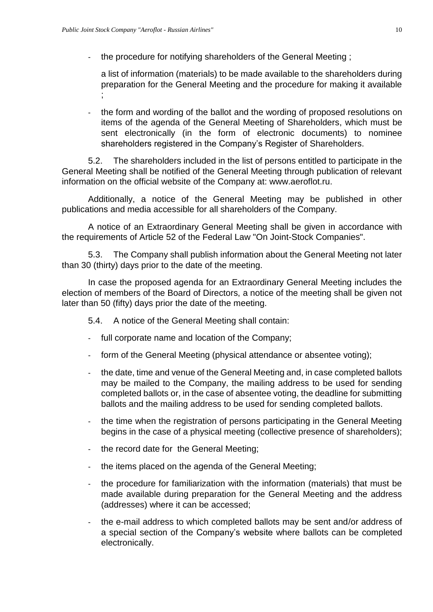- the procedure for notifying shareholders of the General Meeting ;

a list of information (materials) to be made available to the shareholders during preparation for the General Meeting and the procedure for making it available ;

- the form and wording of the ballot and the wording of proposed resolutions on items of the agenda of the General Meeting of Shareholders, which must be sent electronically (in the form of electronic documents) to nominee shareholders registered in the Company's Register of Shareholders.

5.2. The shareholders included in the list of persons entitled to participate in the General Meeting shall be notified of the General Meeting through publication of relevant information on the official website of the Company at: www.aeroflot.ru.

Additionally, a notice of the General Meeting may be published in other publications and media accessible for all shareholders of the Company.

A notice of an Extraordinary General Meeting shall be given in accordance with the requirements of Article 52 of the Federal Law "On Joint-Stock Companies".

5.3. The Company shall publish information about the General Meeting not later than 30 (thirty) days prior to the date of the meeting.

In case the proposed agenda for an Extraordinary General Meeting includes the election of members of the Board of Directors, a notice of the meeting shall be given not later than 50 (fifty) days prior the date of the meeting.

5.4. A notice of the General Meeting shall contain:

- full corporate name and location of the Company;
- form of the General Meeting (physical attendance or absentee voting);
- the date, time and venue of the General Meeting and, in case completed ballots may be mailed to the Company, the mailing address to be used for sending completed ballots or, in the case of absentee voting, the deadline for submitting ballots and the mailing address to be used for sending completed ballots.
- the time when the registration of persons participating in the General Meeting begins in the case of a physical meeting (collective presence of shareholders);
- the record date for the General Meeting;
- the items placed on the agenda of the General Meeting;
- the procedure for familiarization with the information (materials) that must be made available during preparation for the General Meeting and the address (addresses) where it can be accessed;
- the e-mail address to which completed ballots may be sent and/or address of a special section of the Company's website where ballots can be completed electronically.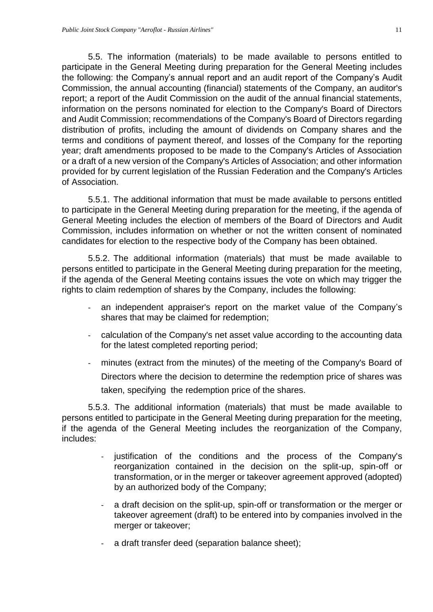5.5. The information (materials) to be made available to persons entitled to participate in the General Meeting during preparation for the General Meeting includes the following: the Company's annual report and an audit report of the Company's Audit Commission, the annual accounting (financial) statements of the Company, an auditor's report; a report of the Audit Commission on the audit of the annual financial statements, information on the persons nominated for election to the Company's Board of Directors and Audit Commission; recommendations of the Company's Board of Directors regarding distribution of profits, including the amount of dividends on Company shares and the terms and conditions of payment thereof, and losses of the Company for the reporting year; draft amendments proposed to be made to the Company's Articles of Association or a draft of a new version of the Company's Articles of Association; and other information provided for by current legislation of the Russian Federation and the Company's Articles of Association.

5.5.1. The additional information that must be made available to persons entitled to participate in the General Meeting during preparation for the meeting, if the agenda of General Meeting includes the election of members of the Board of Directors and Audit Commission, includes information on whether or not the written consent of nominated candidates for election to the respective body of the Company has been obtained.

5.5.2. The additional information (materials) that must be made available to persons entitled to participate in the General Meeting during preparation for the meeting, if the agenda of the General Meeting contains issues the vote on which may trigger the rights to claim redemption of shares by the Company, includes the following:

- an independent appraiser's report on the market value of the Company's shares that may be claimed for redemption;
- calculation of the Company's net asset value according to the accounting data for the latest completed reporting period;
- minutes (extract from the minutes) of the meeting of the Company's Board of Directors where the decision to determine the redemption price of shares was taken, specifying the redemption price of the shares.

5.5.3. The additional information (materials) that must be made available to persons entitled to participate in the General Meeting during preparation for the meeting, if the agenda of the General Meeting includes the reorganization of the Company, includes:

- justification of the conditions and the process of the Company's reorganization contained in the decision on the split-up, spin-off or transformation, or in the merger or takeover agreement approved (adopted) by an authorized body of the Company;
- a draft decision on the split-up, spin-off or transformation or the merger or takeover agreement (draft) to be entered into by companies involved in the merger or takeover;
- a draft transfer deed (separation balance sheet);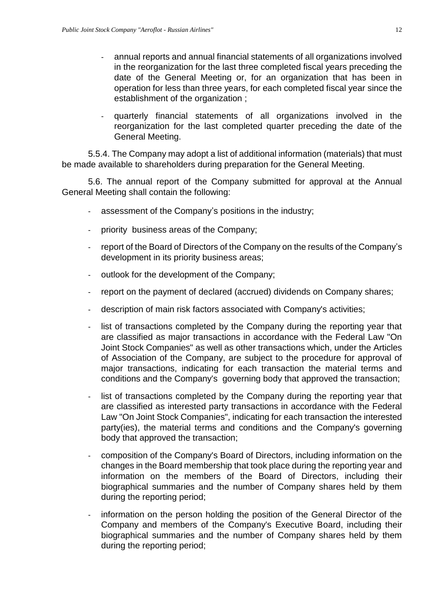- annual reports and annual financial statements of all organizations involved in the reorganization for the last three completed fiscal years preceding the date of the General Meeting or, for an organization that has been in operation for less than three years, for each completed fiscal year since the establishment of the organization ;
- quarterly financial statements of all organizations involved in the reorganization for the last completed quarter preceding the date of the General Meeting.

5.5.4. The Company may adopt a list of additional information (materials) that must be made available to shareholders during preparation for the General Meeting.

5.6. The annual report of the Company submitted for approval at the Annual General Meeting shall contain the following:

- assessment of the Company's positions in the industry;
- priority business areas of the Company;
- report of the Board of Directors of the Company on the results of the Company's development in its priority business areas;
- outlook for the development of the Company;
- report on the payment of declared (accrued) dividends on Company shares;
- description of main risk factors associated with Company's activities;
- list of transactions completed by the Company during the reporting year that are classified as major transactions in accordance with the Federal Law "On Joint Stock Companies" as well as other transactions which, under the Articles of Association of the Company, are subject to the procedure for approval of major transactions, indicating for each transaction the material terms and conditions and the Company's governing body that approved the transaction;
- list of transactions completed by the Company during the reporting year that are classified as interested party transactions in accordance with the Federal Law "On Joint Stock Companies", indicating for each transaction the interested party(ies), the material terms and conditions and the Company's governing body that approved the transaction;
- composition of the Company's Board of Directors, including information on the changes in the Board membership that took place during the reporting year and information on the members of the Board of Directors, including their biographical summaries and the number of Company shares held by them during the reporting period;
- information on the person holding the position of the General Director of the Company and members of the Company's Executive Board, including their biographical summaries and the number of Company shares held by them during the reporting period;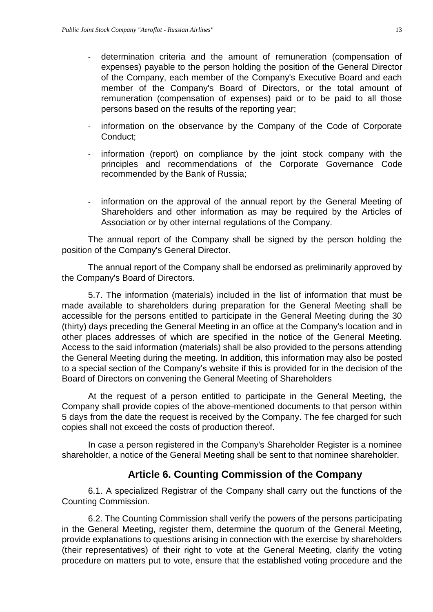- determination criteria and the amount of remuneration (compensation of expenses) payable to the person holding the position of the General Director of the Company, each member of the Company's Executive Board and each member of the Company's Board of Directors, or the total amount of remuneration (compensation of expenses) paid or to be paid to all those persons based on the results of the reporting year;
- information on the observance by the Company of the Code of Corporate Conduct;
- information (report) on compliance by the joint stock company with the principles and recommendations of the Corporate Governance Code recommended by the Bank of Russia;
- information on the approval of the annual report by the General Meeting of Shareholders and other information as may be required by the Articles of Association or by other internal regulations of the Company.

The annual report of the Company shall be signed by the person holding the position of the Company's General Director.

The annual report of the Company shall be endorsed as preliminarily approved by the Company's Board of Directors.

5.7. The information (materials) included in the list of information that must be made available to shareholders during preparation for the General Meeting shall be accessible for the persons entitled to participate in the General Meeting during the 30 (thirty) days preceding the General Meeting in an office at the Company's location and in other places addresses of which are specified in the notice of the General Meeting. Access to the said information (materials) shall be also provided to the persons attending the General Meeting during the meeting. In addition, this information may also be posted to a special section of the Company's website if this is provided for in the decision of the Board of Directors on convening the General Meeting of Shareholders

At the request of a person entitled to participate in the General Meeting, the Company shall provide copies of the above-mentioned documents to that person within 5 days from the date the request is received by the Company. The fee charged for such copies shall not exceed the costs of production thereof.

In case a person registered in the Company's Shareholder Register is a nominee shareholder, a notice of the General Meeting shall be sent to that nominee shareholder.

#### **Article 6. Counting Commission of the Company**

<span id="page-12-0"></span>6.1. A specialized Registrar of the Company shall carry out the functions of the Counting Commission.

6.2. The Counting Commission shall verify the powers of the persons participating in the General Meeting, register them, determine the quorum of the General Meeting, provide explanations to questions arising in connection with the exercise by shareholders (their representatives) of their right to vote at the General Meeting, clarify the voting procedure on matters put to vote, ensure that the established voting procedure and the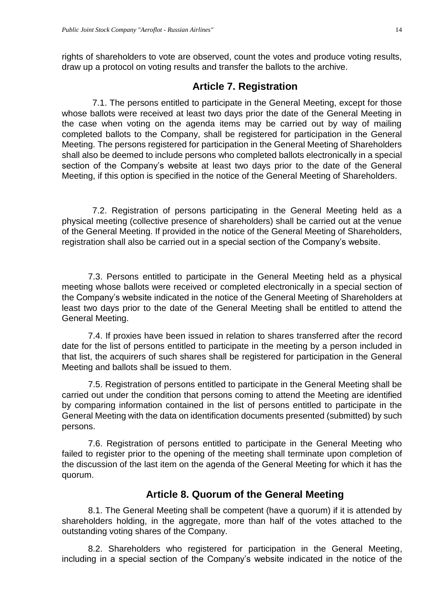rights of shareholders to vote are observed, count the votes and produce voting results, draw up a protocol on voting results and transfer the ballots to the archive.

#### **Article 7. Registration**

<span id="page-13-0"></span>7.1. The persons entitled to participate in the General Meeting, except for those whose ballots were received at least two days prior the date of the General Meeting in the case when voting on the agenda items may be carried out by way of mailing completed ballots to the Company, shall be registered for participation in the General Meeting. The persons registered for participation in the General Meeting of Shareholders shall also be deemed to include persons who completed ballots electronically in a special section of the Company's website at least two days prior to the date of the General Meeting, if this option is specified in the notice of the General Meeting of Shareholders.

7.2. Registration of persons participating in the General Meeting held as a physical meeting (collective presence of shareholders) shall be carried out at the venue of the General Meeting. If provided in the notice of the General Meeting of Shareholders, registration shall also be carried out in a special section of the Company's website.

7.3. Persons entitled to participate in the General Meeting held as a physical meeting whose ballots were received or completed electronically in a special section of the Company's website indicated in the notice of the General Meeting of Shareholders at least two days prior to the date of the General Meeting shall be entitled to attend the General Meeting.

7.4. If proxies have been issued in relation to shares transferred after the record date for the list of persons entitled to participate in the meeting by a person included in that list, the acquirers of such shares shall be registered for participation in the General Meeting and ballots shall be issued to them.

7.5. Registration of persons entitled to participate in the General Meeting shall be carried out under the condition that persons coming to attend the Meeting are identified by comparing information contained in the list of persons entitled to participate in the General Meeting with the data on identification documents presented (submitted) by such persons.

7.6. Registration of persons entitled to participate in the General Meeting who failed to register prior to the opening of the meeting shall terminate upon completion of the discussion of the last item on the agenda of the General Meeting for which it has the quorum.

## **Article 8. Quorum of the General Meeting**

<span id="page-13-1"></span>8.1. The General Meeting shall be competent (have a quorum) if it is attended by shareholders holding, in the aggregate, more than half of the votes attached to the outstanding voting shares of the Company.

8.2. Shareholders who registered for participation in the General Meeting, including in a special section of the Company's website indicated in the notice of the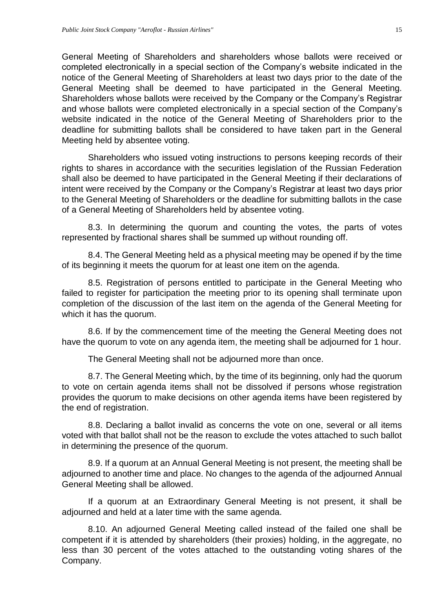General Meeting of Shareholders and shareholders whose ballots were received or completed electronically in a special section of the Company's website indicated in the notice of the General Meeting of Shareholders at least two days prior to the date of the General Meeting shall be deemed to have participated in the General Meeting. Shareholders whose ballots were received by the Company or the Company's Registrar and whose ballots were completed electronically in a special section of the Company's website indicated in the notice of the General Meeting of Shareholders prior to the deadline for submitting ballots shall be considered to have taken part in the General Meeting held by absentee voting.

Shareholders who issued voting instructions to persons keeping records of their rights to shares in accordance with the securities legislation of the Russian Federation shall also be deemed to have participated in the General Meeting if their declarations of intent were received by the Company or the Company's Registrar at least two days prior to the General Meeting of Shareholders or the deadline for submitting ballots in the case of a General Meeting of Shareholders held by absentee voting.

8.3. In determining the quorum and counting the votes, the parts of votes represented by fractional shares shall be summed up without rounding off.

8.4. The General Meeting held as a physical meeting may be opened if by the time of its beginning it meets the quorum for at least one item on the agenda.

8.5. Registration of persons entitled to participate in the General Meeting who failed to register for participation the meeting prior to its opening shall terminate upon completion of the discussion of the last item on the agenda of the General Meeting for which it has the quorum.

8.6. If by the commencement time of the meeting the General Meeting does not have the quorum to vote on any agenda item, the meeting shall be adjourned for 1 hour.

The General Meeting shall not be adjourned more than once.

8.7. The General Meeting which, by the time of its beginning, only had the quorum to vote on certain agenda items shall not be dissolved if persons whose registration provides the quorum to make decisions on other agenda items have been registered by the end of registration.

8.8. Declaring a ballot invalid as concerns the vote on one, several or all items voted with that ballot shall not be the reason to exclude the votes attached to such ballot in determining the presence of the quorum.

8.9. If a quorum at an Annual General Meeting is not present, the meeting shall be adjourned to another time and place. No changes to the agenda of the adjourned Annual General Meeting shall be allowed.

If a quorum at an Extraordinary General Meeting is not present, it shall be adjourned and held at a later time with the same agenda.

8.10. An adjourned General Meeting called instead of the failed one shall be competent if it is attended by shareholders (their proxies) holding, in the aggregate, no less than 30 percent of the votes attached to the outstanding voting shares of the Company.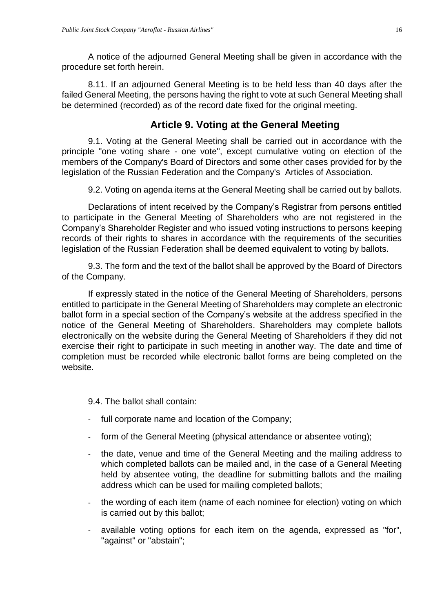A notice of the adjourned General Meeting shall be given in accordance with the procedure set forth herein.

8.11. If an adjourned General Meeting is to be held less than 40 days after the failed General Meeting, the persons having the right to vote at such General Meeting shall be determined (recorded) as of the record date fixed for the original meeting.

## **Article 9. Voting at the General Meeting**

<span id="page-15-0"></span>9.1. Voting at the General Meeting shall be carried out in accordance with the principle "one voting share - one vote", except cumulative voting on election of the members of the Company's Board of Directors and some other cases provided for by the legislation of the Russian Federation and the Company's Articles of Association.

9.2. Voting on agenda items at the General Meeting shall be carried out by ballots.

Declarations of intent received by the Company's Registrar from persons entitled to participate in the General Meeting of Shareholders who are not registered in the Company's Shareholder Register and who issued voting instructions to persons keeping records of their rights to shares in accordance with the requirements of the securities legislation of the Russian Federation shall be deemed equivalent to voting by ballots.

9.3. The form and the text of the ballot shall be approved by the Board of Directors of the Company.

If expressly stated in the notice of the General Meeting of Shareholders, persons entitled to participate in the General Meeting of Shareholders may complete an electronic ballot form in a special section of the Company's website at the address specified in the notice of the General Meeting of Shareholders. Shareholders may complete ballots electronically on the website during the General Meeting of Shareholders if they did not exercise their right to participate in such meeting in another way. The date and time of completion must be recorded while electronic ballot forms are being completed on the website.

9.4. The ballot shall contain:

- full corporate name and location of the Company;
- form of the General Meeting (physical attendance or absentee voting);
- the date, venue and time of the General Meeting and the mailing address to which completed ballots can be mailed and, in the case of a General Meeting held by absentee voting, the deadline for submitting ballots and the mailing address which can be used for mailing completed ballots;
- the wording of each item (name of each nominee for election) voting on which is carried out by this ballot;
- available voting options for each item on the agenda, expressed as "for", "against" or "abstain";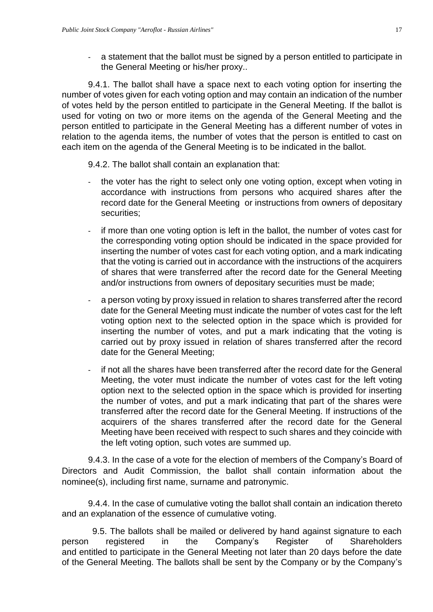- a statement that the ballot must be signed by a person entitled to participate in the General Meeting or his/her proxy..

9.4.1. The ballot shall have a space next to each voting option for inserting the number of votes given for each voting option and may contain an indication of the number of votes held by the person entitled to participate in the General Meeting. If the ballot is used for voting on two or more items on the agenda of the General Meeting and the person entitled to participate in the General Meeting has a different number of votes in relation to the agenda items, the number of votes that the person is entitled to cast on each item on the agenda of the General Meeting is to be indicated in the ballot.

9.4.2. The ballot shall contain an explanation that:

- the voter has the right to select only one voting option, except when voting in accordance with instructions from persons who acquired shares after the record date for the General Meeting or instructions from owners of depositary securities;
- if more than one voting option is left in the ballot, the number of votes cast for the corresponding voting option should be indicated in the space provided for inserting the number of votes cast for each voting option, and a mark indicating that the voting is carried out in accordance with the instructions of the acquirers of shares that were transferred after the record date for the General Meeting and/or instructions from owners of depositary securities must be made;
- a person voting by proxy issued in relation to shares transferred after the record date for the General Meeting must indicate the number of votes cast for the left voting option next to the selected option in the space which is provided for inserting the number of votes, and put a mark indicating that the voting is carried out by proxy issued in relation of shares transferred after the record date for the General Meeting;
- if not all the shares have been transferred after the record date for the General Meeting, the voter must indicate the number of votes cast for the left voting option next to the selected option in the space which is provided for inserting the number of votes, and put a mark indicating that part of the shares were transferred after the record date for the General Meeting. If instructions of the acquirers of the shares transferred after the record date for the General Meeting have been received with respect to such shares and they coincide with the left voting option, such votes are summed up.

9.4.3. In the case of a vote for the election of members of the Company's Board of Directors and Audit Commission, the ballot shall contain information about the nominee(s), including first name, surname and patronymic.

9.4.4. In the case of cumulative voting the ballot shall contain an indication thereto and an explanation of the essence of cumulative voting.

9.5. The ballots shall be mailed or delivered by hand against signature to each person registered in the Company's Register of Shareholders and entitled to participate in the General Meeting not later than 20 days before the date of the General Meeting. The ballots shall be sent by the Company or by the Company's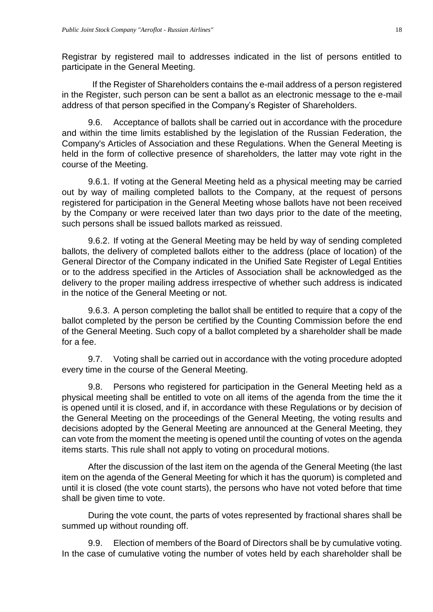Registrar by registered mail to addresses indicated in the list of persons entitled to participate in the General Meeting.

If the Register of Shareholders contains the e-mail address of a person registered in the Register, such person can be sent a ballot as an electronic message to the e-mail address of that person specified in the Company's Register of Shareholders.

9.6. Acceptance of ballots shall be carried out in accordance with the procedure and within the time limits established by the legislation of the Russian Federation, the Company's Articles of Association and these Regulations. When the General Meeting is held in the form of collective presence of shareholders, the latter may vote right in the course of the Meeting.

9.6.1. If voting at the General Meeting held as a physical meeting may be carried out by way of mailing completed ballots to the Company, at the request of persons registered for participation in the General Meeting whose ballots have not been received by the Company or were received later than two days prior to the date of the meeting, such persons shall be issued ballots marked as reissued.

9.6.2. If voting at the General Meeting may be held by way of sending completed ballots, the delivery of completed ballots either to the address (place of location) of the General Director of the Company indicated in the Unified Sate Register of Legal Entities or to the address specified in the Articles of Association shall be acknowledged as the delivery to the proper mailing address irrespective of whether such address is indicated in the notice of the General Meeting or not.

9.6.3. A person completing the ballot shall be entitled to require that a copy of the ballot completed by the person be certified by the Counting Commission before the end of the General Meeting. Such copy of a ballot completed by a shareholder shall be made for a fee.

9.7. Voting shall be carried out in accordance with the voting procedure adopted every time in the course of the General Meeting.

9.8. Persons who registered for participation in the General Meeting held as a physical meeting shall be entitled to vote on all items of the agenda from the time the it is opened until it is closed, and if, in accordance with these Regulations or by decision of the General Meeting on the proceedings of the General Meeting, the voting results and decisions adopted by the General Meeting are announced at the General Meeting, they can vote from the moment the meeting is opened until the counting of votes on the agenda items starts. This rule shall not apply to voting on procedural motions.

After the discussion of the last item on the agenda of the General Meeting (the last item on the agenda of the General Meeting for which it has the quorum) is completed and until it is closed (the vote count starts), the persons who have not voted before that time shall be given time to vote.

During the vote count, the parts of votes represented by fractional shares shall be summed up without rounding off.

9.9. Election of members of the Board of Directors shall be by cumulative voting. In the case of cumulative voting the number of votes held by each shareholder shall be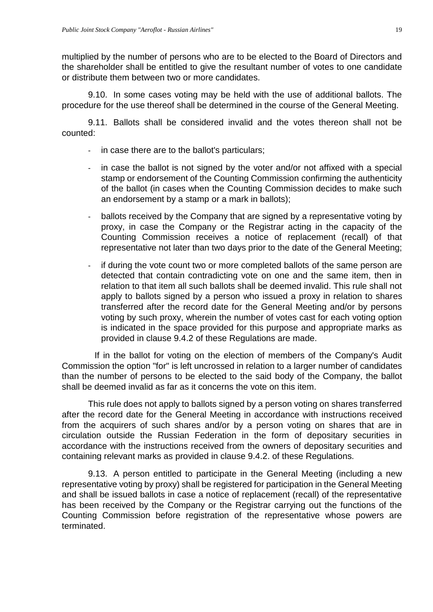multiplied by the number of persons who are to be elected to the Board of Directors and the shareholder shall be entitled to give the resultant number of votes to one candidate or distribute them between two or more candidates.

9.10. In some cases voting may be held with the use of additional ballots. The procedure for the use thereof shall be determined in the course of the General Meeting.

9.11. Ballots shall be considered invalid and the votes thereon shall not be counted:

- in case there are to the ballot's particulars;
- in case the ballot is not signed by the voter and/or not affixed with a special stamp or endorsement of the Counting Commission confirming the authenticity of the ballot (in cases when the Counting Commission decides to make such an endorsement by a stamp or a mark in ballots);
- ballots received by the Company that are signed by a representative voting by proxy, in case the Company or the Registrar acting in the capacity of the Counting Commission receives a notice of replacement (recall) of that representative not later than two days prior to the date of the General Meeting;
- if during the vote count two or more completed ballots of the same person are detected that contain contradicting vote on one and the same item, then in relation to that item all such ballots shall be deemed invalid. This rule shall not apply to ballots signed by a person who issued a proxy in relation to shares transferred after the record date for the General Meeting and/or by persons voting by such proxy, wherein the number of votes cast for each voting option is indicated in the space provided for this purpose and appropriate marks as provided in clause 9.4.2 of these Regulations are made.

If in the ballot for voting on the election of members of the Company's Audit Commission the option "for" is left uncrossed in relation to a larger number of candidates than the number of persons to be elected to the said body of the Company, the ballot shall be deemed invalid as far as it concerns the vote on this item.

This rule does not apply to ballots signed by a person voting on shares transferred after the record date for the General Meeting in accordance with instructions received from the acquirers of such shares and/or by a person voting on shares that are in circulation outside the Russian Federation in the form of depositary securities in accordance with the instructions received from the owners of depositary securities and containing relevant marks as provided in clause 9.4.2. of these Regulations.

9.13. A person entitled to participate in the General Meeting (including a new representative voting by proxy) shall be registered for participation in the General Meeting and shall be issued ballots in case a notice of replacement (recall) of the representative has been received by the Company or the Registrar carrying out the functions of the Counting Commission before registration of the representative whose powers are terminated.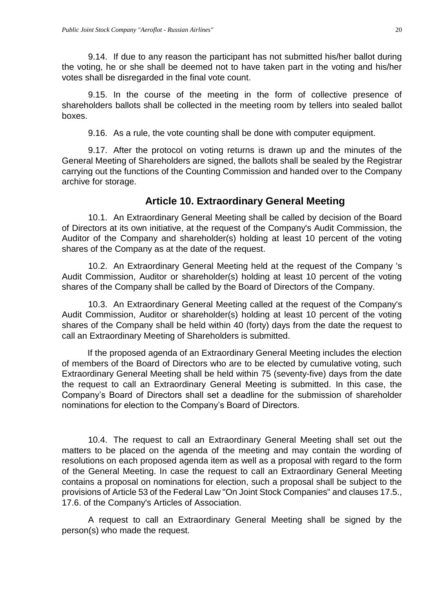9.14. If due to any reason the participant has not submitted his/her ballot during the voting, he or she shall be deemed not to have taken part in the voting and his/her votes shall be disregarded in the final vote count.

9.15. In the course of the meeting in the form of collective presence of shareholders ballots shall be collected in the meeting room by tellers into sealed ballot boxes.

9.16. As a rule, the vote counting shall be done with computer equipment.

9.17. After the protocol on voting returns is drawn up and the minutes of the General Meeting of Shareholders are signed, the ballots shall be sealed by the Registrar carrying out the functions of the Counting Commission and handed over to the Company archive for storage.

## **Article 10. Extraordinary General Meeting**

<span id="page-19-0"></span>10.1. An Extraordinary General Meeting shall be called by decision of the Board of Directors at its own initiative, at the request of the Company's Audit Commission, the Auditor of the Company and shareholder(s) holding at least 10 percent of the voting shares of the Company as at the date of the request.

10.2. An Extraordinary General Meeting held at the request of the Company 's Audit Commission, Auditor or shareholder(s) holding at least 10 percent of the voting shares of the Company shall be called by the Board of Directors of the Company.

10.3. An Extraordinary General Meeting called at the request of the Company's Audit Commission, Auditor or shareholder(s) holding at least 10 percent of the voting shares of the Company shall be held within 40 (forty) days from the date the request to call an Extraordinary Meeting of Shareholders is submitted.

If the proposed agenda of an Extraordinary General Meeting includes the election of members of the Board of Directors who are to be elected by cumulative voting, such Extraordinary General Meeting shall be held within 75 (seventy-five) days from the date the request to call an Extraordinary General Meeting is submitted. In this case, the Company's Board of Directors shall set a deadline for the submission of shareholder nominations for election to the Company's Board of Directors.

10.4. The request to call an Extraordinary General Meeting shall set out the matters to be placed on the agenda of the meeting and may contain the wording of resolutions on each proposed agenda item as well as a proposal with regard to the form of the General Meeting. In case the request to call an Extraordinary General Meeting contains a proposal on nominations for election, such a proposal shall be subject to the provisions of Article 53 of the Federal Law "On Joint Stock Companies" and clauses 17.5., 17.6. of the Company's Articles of Association.

A request to call an Extraordinary General Meeting shall be signed by the person(s) who made the request.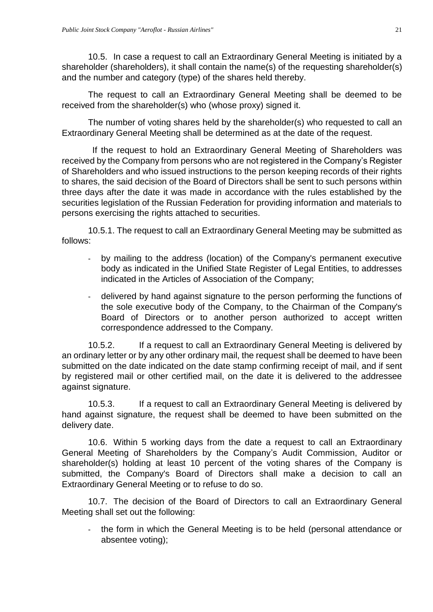10.5. In case a request to call an Extraordinary General Meeting is initiated by a shareholder (shareholders), it shall contain the name(s) of the requesting shareholder(s) and the number and category (type) of the shares held thereby.

The request to call an Extraordinary General Meeting shall be deemed to be received from the shareholder(s) who (whose proxy) signed it.

The number of voting shares held by the shareholder(s) who requested to call an Extraordinary General Meeting shall be determined as at the date of the request.

If the request to hold an Extraordinary General Meeting of Shareholders was received by the Company from persons who are not registered in the Company's Register of Shareholders and who issued instructions to the person keeping records of their rights to shares, the said decision of the Board of Directors shall be sent to such persons within three days after the date it was made in accordance with the rules established by the securities legislation of the Russian Federation for providing information and materials to persons exercising the rights attached to securities.

10.5.1. The request to call an Extraordinary General Meeting may be submitted as follows:

- by mailing to the address (location) of the Company's permanent executive body as indicated in the Unified State Register of Legal Entities, to addresses indicated in the Articles of Association of the Company;
- delivered by hand against signature to the person performing the functions of the sole executive body of the Company, to the Chairman of the Company's Board of Directors or to another person authorized to accept written correspondence addressed to the Company.

10.5.2. If a request to call an Extraordinary General Meeting is delivered by an ordinary letter or by any other ordinary mail, the request shall be deemed to have been submitted on the date indicated on the date stamp confirming receipt of mail, and if sent by registered mail or other certified mail, on the date it is delivered to the addressee against signature.

10.5.3. If a request to call an Extraordinary General Meeting is delivered by hand against signature, the request shall be deemed to have been submitted on the delivery date.

10.6. Within 5 working days from the date a request to call an Extraordinary General Meeting of Shareholders by the Company's Audit Commission, Auditor or shareholder(s) holding at least 10 percent of the voting shares of the Company is submitted, the Company's Board of Directors shall make a decision to call an Extraordinary General Meeting or to refuse to do so.

10.7. The decision of the Board of Directors to call an Extraordinary General Meeting shall set out the following:

the form in which the General Meeting is to be held (personal attendance or absentee voting);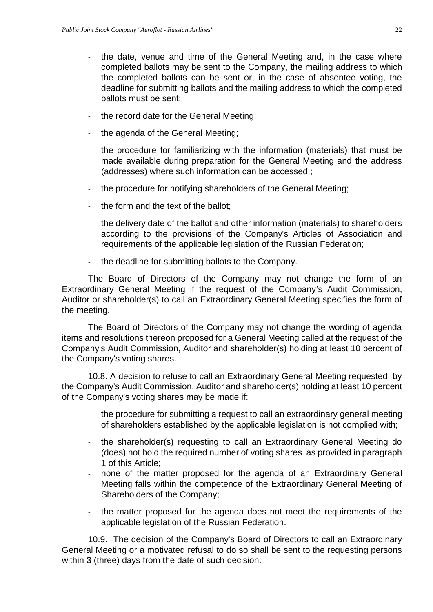- the date, venue and time of the General Meeting and, in the case where completed ballots may be sent to the Company, the mailing address to which the completed ballots can be sent or, in the case of absentee voting, the deadline for submitting ballots and the mailing address to which the completed ballots must be sent;
- the record date for the General Meeting;
- the agenda of the General Meeting;
- the procedure for familiarizing with the information (materials) that must be made available during preparation for the General Meeting and the address (addresses) where such information can be accessed ;
- the procedure for notifying shareholders of the General Meeting;
- the form and the text of the ballot;
- the delivery date of the ballot and other information (materials) to shareholders according to the provisions of the Company's Articles of Association and requirements of the applicable legislation of the Russian Federation;
- the deadline for submitting ballots to the Company.

The Board of Directors of the Company may not change the form of an Extraordinary General Meeting if the request of the Company's Audit Commission, Auditor or shareholder(s) to call an Extraordinary General Meeting specifies the form of the meeting.

The Board of Directors of the Company may not change the wording of agenda items and resolutions thereon proposed for a General Meeting called at the request of the Company's Audit Commission, Auditor and shareholder(s) holding at least 10 percent of the Company's voting shares.

10.8. A decision to refuse to call an Extraordinary General Meeting requested by the Company's Audit Commission, Auditor and shareholder(s) holding at least 10 percent of the Company's voting shares may be made if:

- the procedure for submitting a request to call an extraordinary general meeting of shareholders established by the applicable legislation is not complied with;
- the shareholder(s) requesting to call an Extraordinary General Meeting do (does) not hold the required number of voting shares as provided in paragraph 1 of this Article;
- none of the matter proposed for the agenda of an Extraordinary General Meeting falls within the competence of the Extraordinary General Meeting of Shareholders of the Company;
- the matter proposed for the agenda does not meet the requirements of the applicable legislation of the Russian Federation.

10.9. The decision of the Company's Board of Directors to call an Extraordinary General Meeting or a motivated refusal to do so shall be sent to the requesting persons within 3 (three) days from the date of such decision.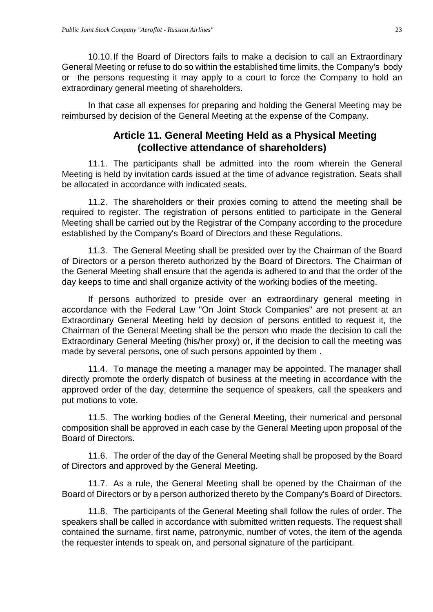10.10.If the Board of Directors fails to make a decision to call an Extraordinary General Meeting or refuse to do so within the established time limits, the Company's body or the persons requesting it may apply to a court to force the Company to hold an extraordinary general meeting of shareholders.

In that case all expenses for preparing and holding the General Meeting may be reimbursed by decision of the General Meeting at the expense of the Company.

# **Article 11. General Meeting Held as a Physical Meeting (collective attendance of shareholders)**

<span id="page-22-0"></span>11.1. The participants shall be admitted into the room wherein the General Meeting is held by invitation cards issued at the time of advance registration. Seats shall be allocated in accordance with indicated seats.

11.2. The shareholders or their proxies coming to attend the meeting shall be required to register. The registration of persons entitled to participate in the General Meeting shall be carried out by the Registrar of the Company according to the procedure established by the Company's Board of Directors and these Regulations.

11.3. The General Meeting shall be presided over by the Chairman of the Board of Directors or a person thereto authorized by the Board of Directors. The Chairman of the General Meeting shall ensure that the agenda is adhered to and that the order of the day keeps to time and shall organize activity of the working bodies of the meeting.

If persons authorized to preside over an extraordinary general meeting in accordance with the Federal Law "On Joint Stock Companies" are not present at an Extraordinary General Meeting held by decision of persons entitled to request it, the Chairman of the General Meeting shall be the person who made the decision to call the Extraordinary General Meeting (his/her proxy) or, if the decision to call the meeting was made by several persons, one of such persons appointed by them .

11.4. To manage the meeting a manager may be appointed. The manager shall directly promote the orderly dispatch of business at the meeting in accordance with the approved order of the day, determine the sequence of speakers, call the speakers and put motions to vote.

11.5. The working bodies of the General Meeting, their numerical and personal composition shall be approved in each case by the General Meeting upon proposal of the Board of Directors.

11.6. The order of the day of the General Meeting shall be proposed by the Board of Directors and approved by the General Meeting.

11.7. As a rule, the General Meeting shall be opened by the Chairman of the Board of Directors or by a person authorized thereto by the Company's Board of Directors.

11.8. The participants of the General Meeting shall follow the rules of order. The speakers shall be called in accordance with submitted written requests. The request shall contained the surname, first name, patronymic, number of votes, the item of the agenda the requester intends to speak on, and personal signature of the participant.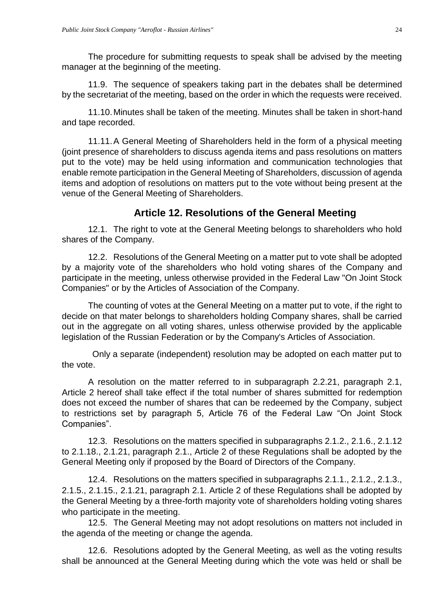The procedure for submitting requests to speak shall be advised by the meeting manager at the beginning of the meeting.

11.9. The sequence of speakers taking part in the debates shall be determined by the secretariat of the meeting, based on the order in which the requests were received.

11.10.Minutes shall be taken of the meeting. Minutes shall be taken in short-hand and tape recorded.

11.11.A General Meeting of Shareholders held in the form of a physical meeting (joint presence of shareholders to discuss agenda items and pass resolutions on matters put to the vote) may be held using information and communication technologies that enable remote participation in the General Meeting of Shareholders, discussion of agenda items and adoption of resolutions on matters put to the vote without being present at the venue of the General Meeting of Shareholders.

# **Article 12. Resolutions of the General Meeting**

<span id="page-23-0"></span>12.1. The right to vote at the General Meeting belongs to shareholders who hold shares of the Company.

12.2. Resolutions of the General Meeting on a matter put to vote shall be adopted by a majority vote of the shareholders who hold voting shares of the Company and participate in the meeting, unless otherwise provided in the Federal Law "On Joint Stock Companies" or by the Articles of Association of the Company.

The counting of votes at the General Meeting on a matter put to vote, if the right to decide on that mater belongs to shareholders holding Company shares, shall be carried out in the aggregate on all voting shares, unless otherwise provided by the applicable legislation of the Russian Federation or by the Company's Articles of Association.

Only a separate (independent) resolution may be adopted on each matter put to the vote.

A resolution on the matter referred to in subparagraph 2.2.21, paragraph 2.1, Article 2 hereof shall take effect if the total number of shares submitted for redemption does not exceed the number of shares that can be redeemed by the Company, subject to restrictions set by paragraph 5, Article 76 of the Federal Law "On Joint Stock Companies".

12.3. Resolutions on the matters specified in subparagraphs 2.1.2., 2.1.6., 2.1.12 to 2.1.18., 2.1.21, paragraph 2.1., Article 2 of these Regulations shall be adopted by the General Meeting only if proposed by the Board of Directors of the Company.

12.4. Resolutions on the matters specified in subparagraphs 2.1.1., 2.1.2., 2.1.3., 2.1.5., 2.1.15., 2.1.21, paragraph 2.1. Article 2 of these Regulations shall be adopted by the General Meeting by a three-forth majority vote of shareholders holding voting shares who participate in the meeting.

12.5. The General Meeting may not adopt resolutions on matters not included in the agenda of the meeting or change the agenda.

12.6. Resolutions adopted by the General Meeting, as well as the voting results shall be announced at the General Meeting during which the vote was held or shall be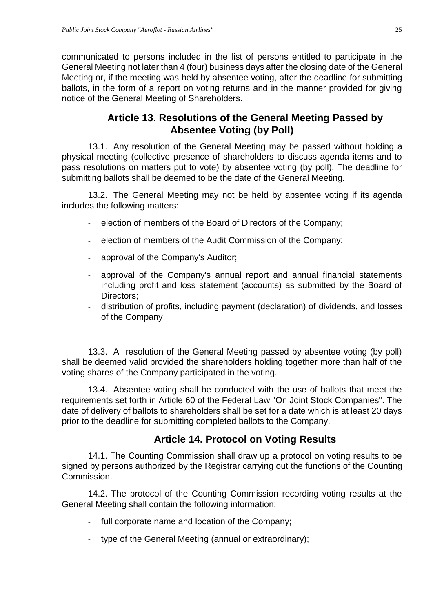communicated to persons included in the list of persons entitled to participate in the General Meeting not later than 4 (four) business days after the closing date of the General Meeting or, if the meeting was held by absentee voting, after the deadline for submitting ballots, in the form of a report on voting returns and in the manner provided for giving notice of the General Meeting of Shareholders.

## **Article 13. Resolutions of the General Meeting Passed by Absentee Voting (by Poll)**

<span id="page-24-0"></span>13.1. Any resolution of the General Meeting may be passed without holding a physical meeting (collective presence of shareholders to discuss agenda items and to pass resolutions on matters put to vote) by absentee voting (by poll). The deadline for submitting ballots shall be deemed to be the date of the General Meeting.

13.2. The General Meeting may not be held by absentee voting if its agenda includes the following matters:

- election of members of the Board of Directors of the Company;
- election of members of the Audit Commission of the Company;
- approval of the Company's Auditor;
- approval of the Company's annual report and annual financial statements including profit and loss statement (accounts) as submitted by the Board of Directors;
- distribution of profits, including payment (declaration) of dividends, and losses of the Company

13.3. A resolution of the General Meeting passed by absentee voting (by poll) shall be deemed valid provided the shareholders holding together more than half of the voting shares of the Company participated in the voting.

13.4. Absentee voting shall be conducted with the use of ballots that meet the requirements set forth in Article 60 of the Federal Law "On Joint Stock Companies". The date of delivery of ballots to shareholders shall be set for a date which is at least 20 days prior to the deadline for submitting completed ballots to the Company.

# **Article 14. Protocol on Voting Results**

<span id="page-24-1"></span>14.1. The Counting Commission shall draw up a protocol on voting results to be signed by persons authorized by the Registrar carrying out the functions of the Counting Commission.

14.2. The protocol of the Counting Commission recording voting results at the General Meeting shall contain the following information:

- full corporate name and location of the Company;
- type of the General Meeting (annual or extraordinary);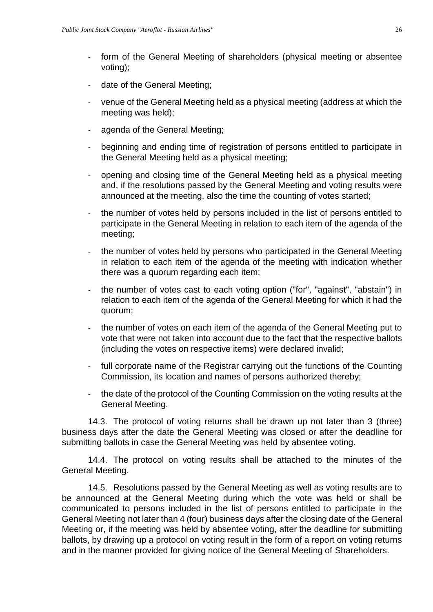- form of the General Meeting of shareholders (physical meeting or absentee voting);
- date of the General Meeting;
- venue of the General Meeting held as a physical meeting (address at which the meeting was held);
- agenda of the General Meeting;
- beginning and ending time of registration of persons entitled to participate in the General Meeting held as a physical meeting;
- opening and closing time of the General Meeting held as a physical meeting and, if the resolutions passed by the General Meeting and voting results were announced at the meeting, also the time the counting of votes started;
- the number of votes held by persons included in the list of persons entitled to participate in the General Meeting in relation to each item of the agenda of the meeting;
- the number of votes held by persons who participated in the General Meeting in relation to each item of the agenda of the meeting with indication whether there was a quorum regarding each item;
- the number of votes cast to each voting option ("for", "against", "abstain") in relation to each item of the agenda of the General Meeting for which it had the quorum;
- the number of votes on each item of the agenda of the General Meeting put to vote that were not taken into account due to the fact that the respective ballots (including the votes on respective items) were declared invalid;
- full corporate name of the Registrar carrying out the functions of the Counting Commission, its location and names of persons authorized thereby;
- the date of the protocol of the Counting Commission on the voting results at the General Meeting.

14.3. The protocol of voting returns shall be drawn up not later than 3 (three) business days after the date the General Meeting was closed or after the deadline for submitting ballots in case the General Meeting was held by absentee voting.

14.4. The protocol on voting results shall be attached to the minutes of the General Meeting.

14.5. Resolutions passed by the General Meeting as well as voting results are to be announced at the General Meeting during which the vote was held or shall be communicated to persons included in the list of persons entitled to participate in the General Meeting not later than 4 (four) business days after the closing date of the General Meeting or, if the meeting was held by absentee voting, after the deadline for submitting ballots, by drawing up a protocol on voting result in the form of a report on voting returns and in the manner provided for giving notice of the General Meeting of Shareholders.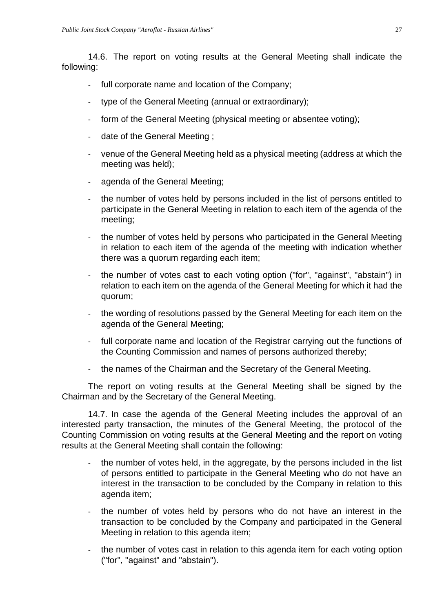14.6. The report on voting results at the General Meeting shall indicate the following:

- full corporate name and location of the Company;
- type of the General Meeting (annual or extraordinary);
- form of the General Meeting (physical meeting or absentee voting);
- date of the General Meeting ;
- venue of the General Meeting held as a physical meeting (address at which the meeting was held);
- agenda of the General Meeting;
- the number of votes held by persons included in the list of persons entitled to participate in the General Meeting in relation to each item of the agenda of the meeting;
- the number of votes held by persons who participated in the General Meeting in relation to each item of the agenda of the meeting with indication whether there was a quorum regarding each item;
- the number of votes cast to each voting option ("for", "against", "abstain") in relation to each item on the agenda of the General Meeting for which it had the quorum;
- the wording of resolutions passed by the General Meeting for each item on the agenda of the General Meeting;
- full corporate name and location of the Registrar carrying out the functions of the Counting Commission and names of persons authorized thereby;
- the names of the Chairman and the Secretary of the General Meeting.

The report on voting results at the General Meeting shall be signed by the Chairman and by the Secretary of the General Meeting.

14.7. In case the agenda of the General Meeting includes the approval of an interested party transaction, the minutes of the General Meeting, the protocol of the Counting Commission on voting results at the General Meeting and the report on voting results at the General Meeting shall contain the following:

- the number of votes held, in the aggregate, by the persons included in the list of persons entitled to participate in the General Meeting who do not have an interest in the transaction to be concluded by the Company in relation to this agenda item;
- the number of votes held by persons who do not have an interest in the transaction to be concluded by the Company and participated in the General Meeting in relation to this agenda item;
- the number of votes cast in relation to this agenda item for each voting option ("for", "against" and "abstain").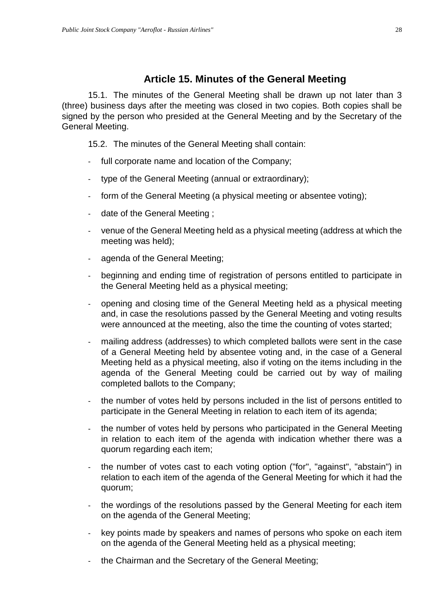#### **Article 15. Minutes of the General Meeting**

<span id="page-27-0"></span>15.1. The minutes of the General Meeting shall be drawn up not later than 3 (three) business days after the meeting was closed in two copies. Both copies shall be signed by the person who presided at the General Meeting and by the Secretary of the General Meeting.

15.2. The minutes of the General Meeting shall contain:

- full corporate name and location of the Company;
- type of the General Meeting (annual or extraordinary);
- form of the General Meeting (a physical meeting or absentee voting);
- date of the General Meeting ;
- venue of the General Meeting held as a physical meeting (address at which the meeting was held);
- agenda of the General Meeting;
- beginning and ending time of registration of persons entitled to participate in the General Meeting held as a physical meeting;
- opening and closing time of the General Meeting held as a physical meeting and, in case the resolutions passed by the General Meeting and voting results were announced at the meeting, also the time the counting of votes started;
- mailing address (addresses) to which completed ballots were sent in the case of a General Meeting held by absentee voting and, in the case of a General Meeting held as a physical meeting, also if voting on the items including in the agenda of the General Meeting could be carried out by way of mailing completed ballots to the Company;
- the number of votes held by persons included in the list of persons entitled to participate in the General Meeting in relation to each item of its agenda;
- the number of votes held by persons who participated in the General Meeting in relation to each item of the agenda with indication whether there was a quorum regarding each item;
- the number of votes cast to each voting option ("for", "against", "abstain") in relation to each item of the agenda of the General Meeting for which it had the quorum;
- the wordings of the resolutions passed by the General Meeting for each item on the agenda of the General Meeting;
- key points made by speakers and names of persons who spoke on each item on the agenda of the General Meeting held as a physical meeting;
- the Chairman and the Secretary of the General Meeting;